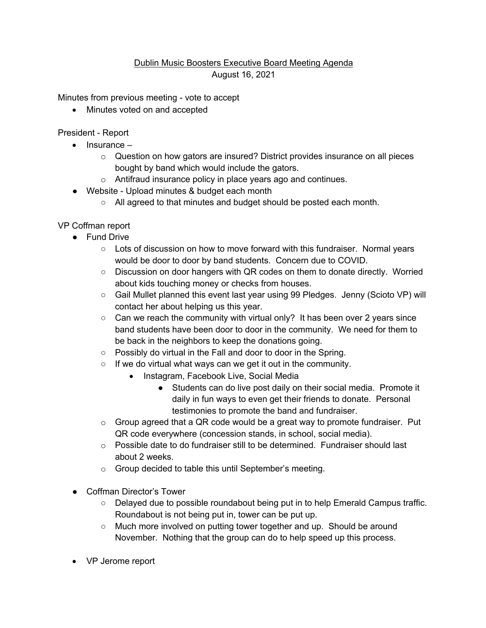## Dublin Music Boosters Executive Board Meeting Agenda August 16, 2021

Minutes from previous meeting - vote to accept

• Minutes voted on and accepted

President - Report

- Insurance
	- o Question on how gators are insured? District provides insurance on all pieces bought by band which would include the gators.
	- o Antifraud insurance policy in place years ago and continues.
- Website Upload minutes & budget each month
	- $\circ$  All agreed to that minutes and budget should be posted each month.

VP Coffman report

- Fund Drive
	- Lots of discussion on how to move forward with this fundraiser. Normal years would be door to door by band students. Concern due to COVID.
	- Discussion on door hangers with QR codes on them to donate directly. Worried about kids touching money or checks from houses.
	- Gail Mullet planned this event last year using 99 Pledges. Jenny (Scioto VP) will contact her about helping us this year.
	- Can we reach the community with virtual only? It has been over 2 years since band students have been door to door in the community. We need for them to be back in the neighbors to keep the donations going.
	- Possibly do virtual in the Fall and door to door in the Spring.
	- If we do virtual what ways can we get it out in the community.
		- Instagram, Facebook Live, Social Media
			- Students can do live post daily on their social media. Promote it daily in fun ways to even get their friends to donate. Personal testimonies to promote the band and fundraiser.
	- $\circ$  Group agreed that a QR code would be a great way to promote fundraiser. Put QR code everywhere (concession stands, in school, social media).
	- $\circ$  Possible date to do fundraiser still to be determined. Fundraiser should last about 2 weeks.
	- o Group decided to table this until September's meeting.
- Coffman Director's Tower
	- Delayed due to possible roundabout being put in to help Emerald Campus traffic. Roundabout is not being put in, tower can be put up.
	- Much more involved on putting tower together and up. Should be around November. Nothing that the group can do to help speed up this process.
- VP Jerome report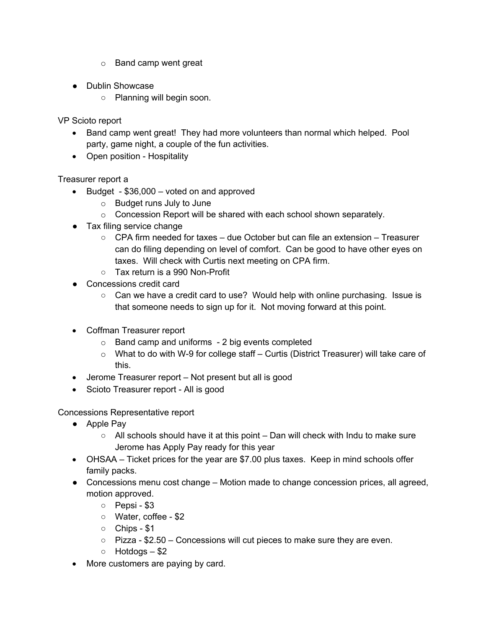- o Band camp went great
- Dublin Showcase
	- Planning will begin soon.

VP Scioto report

- Band camp went great! They had more volunteers than normal which helped. Pool party, game night, a couple of the fun activities.
- Open position Hospitality

Treasurer report a

- Budget \$36,000 voted on and approved
	- o Budget runs July to June
	- o Concession Report will be shared with each school shown separately.
- Tax filing service change
	- CPA firm needed for taxes due October but can file an extension Treasurer can do filing depending on level of comfort. Can be good to have other eyes on taxes. Will check with Curtis next meeting on CPA firm.
	- Tax return is a 990 Non-Profit
- Concessions credit card
	- $\circ$  Can we have a credit card to use? Would help with online purchasing. Issue is that someone needs to sign up for it. Not moving forward at this point.
- Coffman Treasurer report
	- o Band camp and uniforms 2 big events completed
	- $\circ$  What to do with W-9 for college staff Curtis (District Treasurer) will take care of this.
- Jerome Treasurer report Not present but all is good
- Scioto Treasurer report All is good

Concessions Representative report

- Apple Pay
	- $\circ$  All schools should have it at this point Dan will check with Indu to make sure Jerome has Apply Pay ready for this year
- OHSAA Ticket prices for the year are \$7.00 plus taxes. Keep in mind schools offer family packs.
- Concessions menu cost change Motion made to change concession prices, all agreed, motion approved.
	- Pepsi \$3
	- Water, coffee \$2
	- Chips \$1
	- Pizza \$2.50 Concessions will cut pieces to make sure they are even.
	- $\circ$  Hotdogs \$2
- More customers are paying by card.